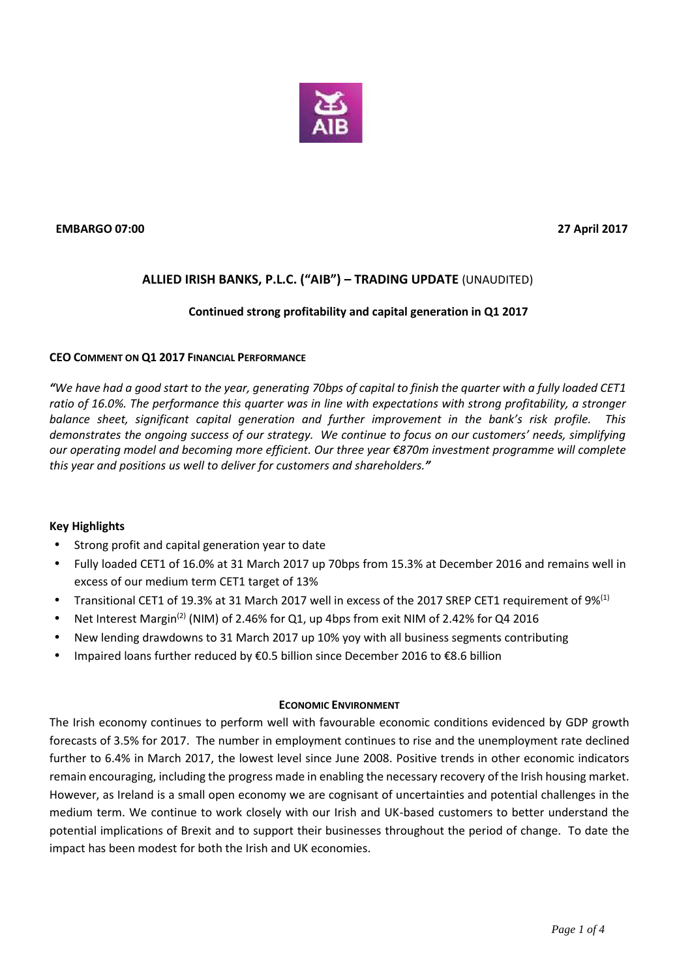

# **EMBARGO 07:00 27 April 2017**

# **ALLIED IRISH BANKS, P.L.C. ("AIB") – TRADING UPDATE** (UNAUDITED)

# **Continued strong profitability and capital generation in Q1 2017**

# **CEO COMMENT ON Q1 2017 FINANCIAL PERFORMANCE**

*"We have had a good start to the year, generating 70bps of capital to finish the quarter with a fully loaded CET1 ratio of 16.0%. The performance this quarter was in line with expectations with strong profitability, a stronger balance sheet, significant capital generation and further improvement in the bank's risk profile. This demonstrates the ongoing success of our strategy. We continue to focus on our customers' needs, simplifying our operating model and becoming more efficient. Our three year €870m investment programme will complete this year and positions us well to deliver for customers and shareholders."*

#### **Key Highlights**

- Strong profit and capital generation year to date
- Fully loaded CET1 of 16.0% at 31 March 2017 up 70bps from 15.3% at December 2016 and remains well in excess of our medium term CET1 target of 13%
- Transitional CET1 of 19.3% at 31 March 2017 well in excess of the 2017 SREP CET1 requirement of 9%(1)
- Net Interest Margin<sup>(2)</sup> (NIM) of 2.46% for Q1, up 4bps from exit NIM of 2.42% for Q4 2016
- New lending drawdowns to 31 March 2017 up 10% yoy with all business segments contributing
- Impaired loans further reduced by €0.5 billion since December 2016 to €8.6 billion

# **ECONOMIC ENVIRONMENT**

The Irish economy continues to perform well with favourable economic conditions evidenced by GDP growth forecasts of 3.5% for 2017. The number in employment continues to rise and the unemployment rate declined further to 6.4% in March 2017, the lowest level since June 2008. Positive trends in other economic indicators remain encouraging, including the progress made in enabling the necessary recovery of the Irish housing market. However, as Ireland is a small open economy we are cognisant of uncertainties and potential challenges in the medium term. We continue to work closely with our Irish and UK-based customers to better understand the potential implications of Brexit and to support their businesses throughout the period of change. To date the impact has been modest for both the Irish and UK economies.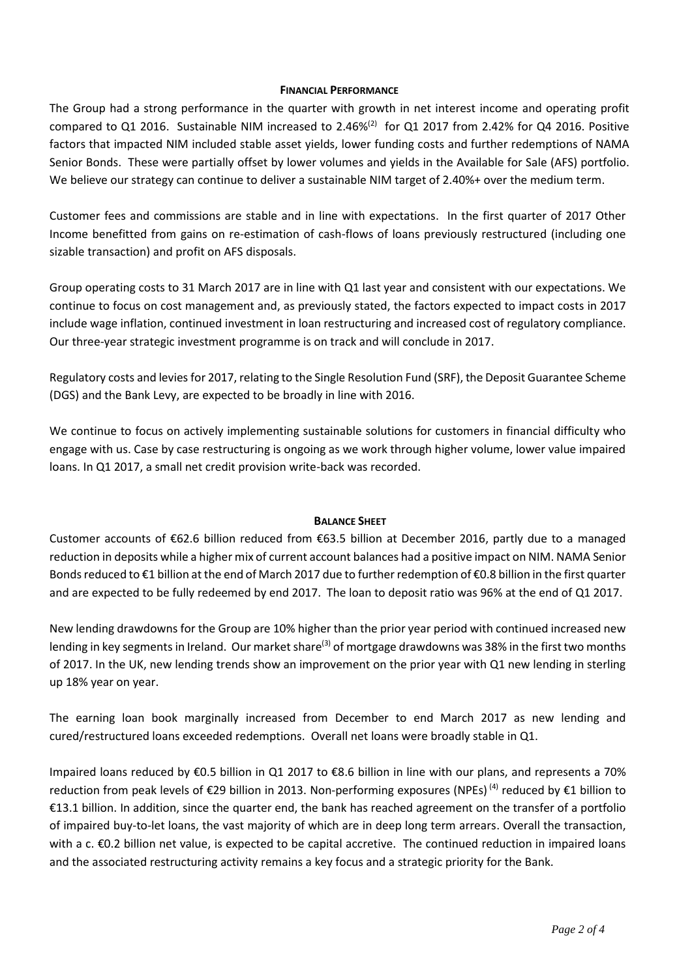#### **FINANCIAL PERFORMANCE**

The Group had a strong performance in the quarter with growth in net interest income and operating profit compared to Q1 2016. Sustainable NIM increased to 2.46%<sup>(2)</sup> for Q1 2017 from 2.42% for Q4 2016. Positive factors that impacted NIM included stable asset yields, lower funding costs and further redemptions of NAMA Senior Bonds. These were partially offset by lower volumes and yields in the Available for Sale (AFS) portfolio. We believe our strategy can continue to deliver a sustainable NIM target of 2.40%+ over the medium term.

Customer fees and commissions are stable and in line with expectations. In the first quarter of 2017 Other Income benefitted from gains on re-estimation of cash-flows of loans previously restructured (including one sizable transaction) and profit on AFS disposals.

Group operating costs to 31 March 2017 are in line with Q1 last year and consistent with our expectations. We continue to focus on cost management and, as previously stated, the factors expected to impact costs in 2017 include wage inflation, continued investment in loan restructuring and increased cost of regulatory compliance. Our three-year strategic investment programme is on track and will conclude in 2017.

Regulatory costs and leviesfor 2017, relating to the Single Resolution Fund (SRF), the Deposit Guarantee Scheme (DGS) and the Bank Levy, are expected to be broadly in line with 2016.

We continue to focus on actively implementing sustainable solutions for customers in financial difficulty who engage with us. Case by case restructuring is ongoing as we work through higher volume, lower value impaired loans. In Q1 2017, a small net credit provision write-back was recorded.

# **BALANCE SHEET**

Customer accounts of €62.6 billion reduced from €63.5 billion at December 2016, partly due to a managed reduction in deposits while a higher mix of current account balances had a positive impact on NIM. NAMA Senior Bonds reduced to €1 billion at the end of March 2017 due to further redemption of €0.8 billion in the first quarter and are expected to be fully redeemed by end 2017. The loan to deposit ratio was 96% at the end of Q1 2017.

New lending drawdowns for the Group are 10% higher than the prior year period with continued increased new lending in key segments in Ireland. Our market share<sup>(3)</sup> of mortgage drawdowns was 38% in the first two months of 2017. In the UK, new lending trends show an improvement on the prior year with Q1 new lending in sterling up 18% year on year.

The earning loan book marginally increased from December to end March 2017 as new lending and cured/restructured loans exceeded redemptions. Overall net loans were broadly stable in Q1.

Impaired loans reduced by €0.5 billion in Q1 2017 to €8.6 billion in line with our plans, and represents a 70% reduction from peak levels of €29 billion in 2013. Non-performing exposures (NPEs)<sup>(4)</sup> reduced by €1 billion to €13.1 billion. In addition, since the quarter end, the bank has reached agreement on the transfer of a portfolio of impaired buy-to-let loans, the vast majority of which are in deep long term arrears. Overall the transaction, with a c. €0.2 billion net value, is expected to be capital accretive. The continued reduction in impaired loans and the associated restructuring activity remains a key focus and a strategic priority for the Bank.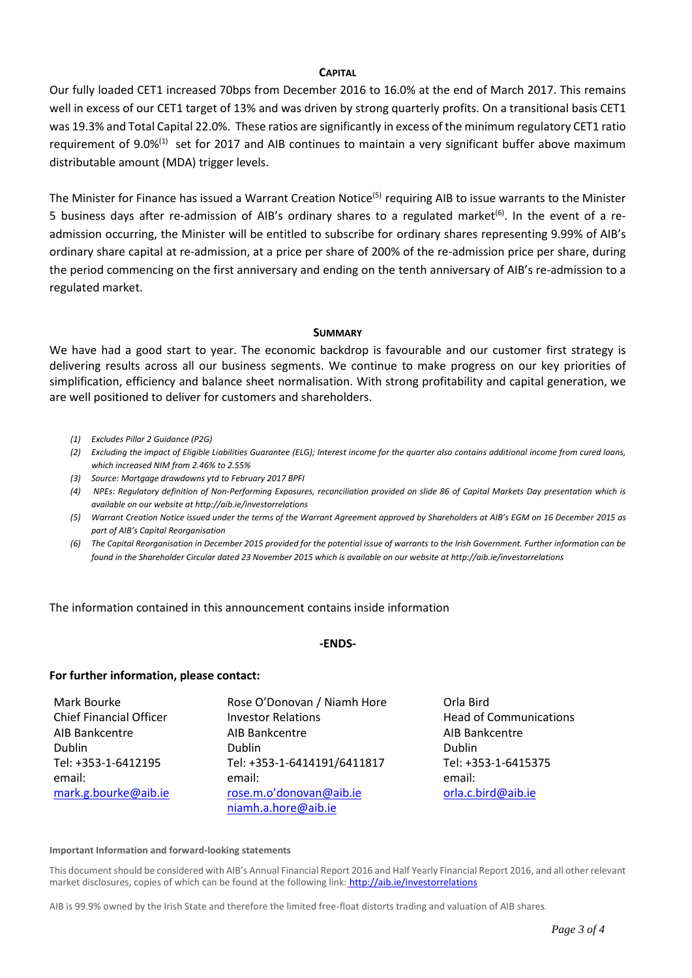#### **CAPITAL**

Our fully loaded CET1 increased 70bps from December 2016 to 16.0% at the end of March 2017. This remains well in excess of our CET1 target of 13% and was driven by strong quarterly profits. On a transitional basis CET1 was 19.3% and Total Capital 22.0%. These ratios are significantly in excess of the minimum regulatory CET1 ratio requirement of 9.0%<sup>(1)</sup> set for 2017 and AIB continues to maintain a very significant buffer above maximum distributable amount (MDA) trigger levels.

The Minister for Finance has issued a Warrant Creation Notice<sup>(5)</sup> requiring AIB to issue warrants to the Minister 5 business days after re-admission of AIB's ordinary shares to a regulated market<sup>(6)</sup>. In the event of a readmission occurring, the Minister will be entitled to subscribe for ordinary shares representing 9.99% of AIB's ordinary share capital at re-admission, at a price per share of 200% of the re-admission price per share, during the period commencing on the first anniversary and ending on the tenth anniversary of AIB's re-admission to a regulated market.

#### **SUMMARY**

We have had a good start to year. The economic backdrop is favourable and our customer first strategy is delivering results across all our business segments. We continue to make progress on our key priorities of simplification, efficiency and balance sheet normalisation. With strong profitability and capital generation, we are well positioned to deliver for customers and shareholders.

- *(1) Excludes Pillar 2 Guidance (P2G)*
- *(2) Excluding the impact of Eligible Liabilities Guarantee (ELG); Interest income for the quarter also contains additional income from cured loans, which increased NIM from 2.46% to 2.55%*
- *(3) Source: Mortgage drawdowns ytd to February 2017 BPFI*
- *(4) NPEs: Regulatory definition of Non-Performing Exposures, reconciliation provided on slide 86 of Capital Markets Day presentation which is available on our website athttp://aib.ie/investorrelations*
- *(5) Warrant Creation Notice issued under the terms of the Warrant Agreement approved by Shareholders at AIB's EGM on 16 December 2015 as part of AIB's Capital Reorganisation*
- *(6) The Capital Reorganisation in December 2015 provided for the potential issue of warrants to the Irish Government. Further information can be found in the Shareholder Circular dated 23 November 2015 which is available on our website athttp://aib.ie/investorrelations*

The information contained in this announcement contains inside information

#### **-ENDS-**

#### **For further information, please contact:**

| Mark Bourke                    | Rose O'Donovan / Niamh Hore                    | Orla Bird                     |
|--------------------------------|------------------------------------------------|-------------------------------|
| <b>Chief Financial Officer</b> | <b>Investor Relations</b>                      | <b>Head of Communications</b> |
| AIB Bankcentre                 | AIB Bankcentre                                 | AIB Bankcentre                |
| Dublin                         | <b>Dublin</b>                                  | <b>Dublin</b>                 |
| Tel: +353-1-6412195            | Tel: +353-1-6414191/6411817                    | Tel: +353-1-6415375           |
| email:                         | email:                                         | email:                        |
| mark.g.bourke@aib.ie           | rose.m.o'donovan@aib.ie<br>niamh.a.hore@aib.ie | orla.c.bird@aib.ie            |

#### **Important Information and forward-looking statements**

This document should be considered with AIB's Annual Financial Report 2016 and Half Yearly Financial Report 2016, and all other relevant market disclosures, copies of which can be found at the following link: <http://aib.ie/investorrelations>

AIB is 99.9% owned by the Irish State and therefore the limited free-float distorts trading and valuation of AIB shares.